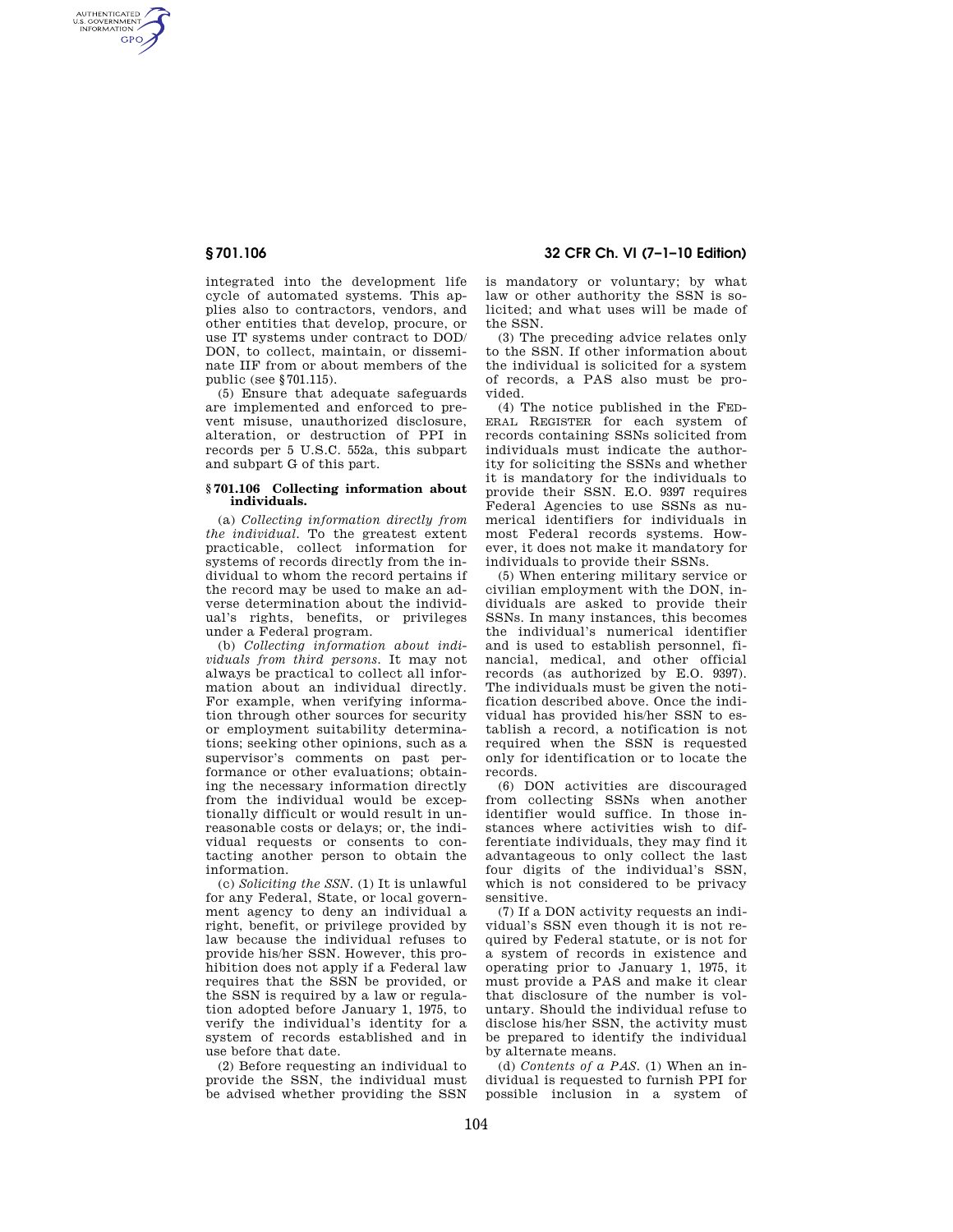AUTHENTICATED<br>U.S. GOVERNMENT<br>INFORMATION **GPO** 

> integrated into the development life cycle of automated systems. This applies also to contractors, vendors, and other entities that develop, procure, or use IT systems under contract to DOD/ DON, to collect, maintain, or disseminate IIF from or about members of the public (see §701.115).

> (5) Ensure that adequate safeguards are implemented and enforced to prevent misuse, unauthorized disclosure, alteration, or destruction of PPI in records per 5 U.S.C. 552a, this subpart and subpart G of this part.

## **§ 701.106 Collecting information about individuals.**

(a) *Collecting information directly from the individual.* To the greatest extent practicable, collect information for systems of records directly from the individual to whom the record pertains if the record may be used to make an adverse determination about the individual's rights, benefits, or privileges under a Federal program.

(b) *Collecting information about individuals from third persons.* It may not always be practical to collect all information about an individual directly. For example, when verifying information through other sources for security or employment suitability determinations; seeking other opinions, such as a supervisor's comments on past performance or other evaluations; obtaining the necessary information directly from the individual would be exceptionally difficult or would result in unreasonable costs or delays; or, the individual requests or consents to contacting another person to obtain the information.

(c) *Soliciting the SSN.* (1) It is unlawful for any Federal, State, or local government agency to deny an individual a right, benefit, or privilege provided by law because the individual refuses to provide his/her SSN. However, this prohibition does not apply if a Federal law requires that the SSN be provided, or the SSN is required by a law or regulation adopted before January 1, 1975, to verify the individual's identity for a system of records established and in use before that date.

(2) Before requesting an individual to provide the SSN, the individual must be advised whether providing the SSN

# **§ 701.106 32 CFR Ch. VI (7–1–10 Edition)**

is mandatory or voluntary; by what law or other authority the SSN is solicited; and what uses will be made of the SSN.

(3) The preceding advice relates only to the SSN. If other information about the individual is solicited for a system of records, a PAS also must be provided.

(4) The notice published in the FED-ERAL REGISTER for each system of records containing SSNs solicited from individuals must indicate the authority for soliciting the SSNs and whether it is mandatory for the individuals to provide their SSN. E.O. 9397 requires Federal Agencies to use SSNs as numerical identifiers for individuals in most Federal records systems. However, it does not make it mandatory for individuals to provide their SSNs.

(5) When entering military service or civilian employment with the DON, individuals are asked to provide their SSNs. In many instances, this becomes the individual's numerical identifier and is used to establish personnel, financial, medical, and other official records (as authorized by E.O. 9397). The individuals must be given the notification described above. Once the individual has provided his/her SSN to establish a record, a notification is not required when the SSN is requested only for identification or to locate the records.

(6) DON activities are discouraged from collecting SSNs when another identifier would suffice. In those instances where activities wish to differentiate individuals, they may find it advantageous to only collect the last four digits of the individual's SSN, which is not considered to be privacy sensitive.

(7) If a DON activity requests an individual's SSN even though it is not required by Federal statute, or is not for a system of records in existence and operating prior to January 1, 1975, it must provide a PAS and make it clear that disclosure of the number is voluntary. Should the individual refuse to disclose his/her SSN, the activity must be prepared to identify the individual by alternate means.

(d) *Contents of a PAS.* (1) When an individual is requested to furnish PPI for possible inclusion in a system of